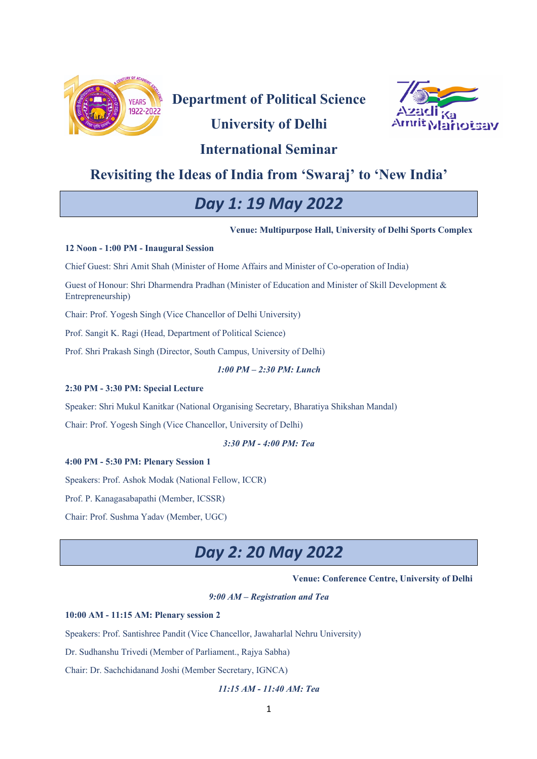

**Department of Political Science**

# **University of Delhi**



# **International Seminar**

# **Revisiting the Ideas of India from 'Swaraj' to 'New India'**

# *Day 1: 19 May 2022*

**Venue: Multipurpose Hall, University of Delhi Sports Complex**

## **12 Noon - 1:00 PM - Inaugural Session**

Chief Guest: Shri Amit Shah (Minister of Home Affairs and Minister of Co-operation of India)

Guest of Honour: Shri Dharmendra Pradhan (Minister of Education and Minister of Skill Development & Entrepreneurship)

Chair: Prof. Yogesh Singh (Vice Chancellor of Delhi University)

Prof. Sangit K. Ragi (Head, Department of Political Science)

Prof. Shri Prakash Singh (Director, South Campus, University of Delhi)

## *1:00 PM – 2:30 PM: Lunch*

## **2:30 PM - 3:30 PM: Special Lecture**

Speaker: Shri Mukul Kanitkar (National Organising Secretary, Bharatiya Shikshan Mandal)

Chair: Prof. Yogesh Singh (Vice Chancellor, University of Delhi)

## *3:30 PM - 4:00 PM: Tea*

## **4:00 PM - 5:30 PM: Plenary Session 1**

Speakers: Prof. Ashok Modak (National Fellow, ICCR)

Prof. P. Kanagasabapathi (Member, ICSSR)

Chair: Prof. Sushma Yadav (Member, UGC)

# *Day 2: 20 May 2022*

## **Venue: Conference Centre, University of Delhi**

*9:00 AM – Registration and Tea*

## **10:00 AM - 11:15 AM: Plenary session 2**

Speakers: Prof. Santishree Pandit (Vice Chancellor, Jawaharlal Nehru University)

Dr. Sudhanshu Trivedi (Member of Parliament., Rajya Sabha)

Chair: Dr. Sachchidanand Joshi (Member Secretary, IGNCA)

## *11:15 AM - 11:40 AM: Tea*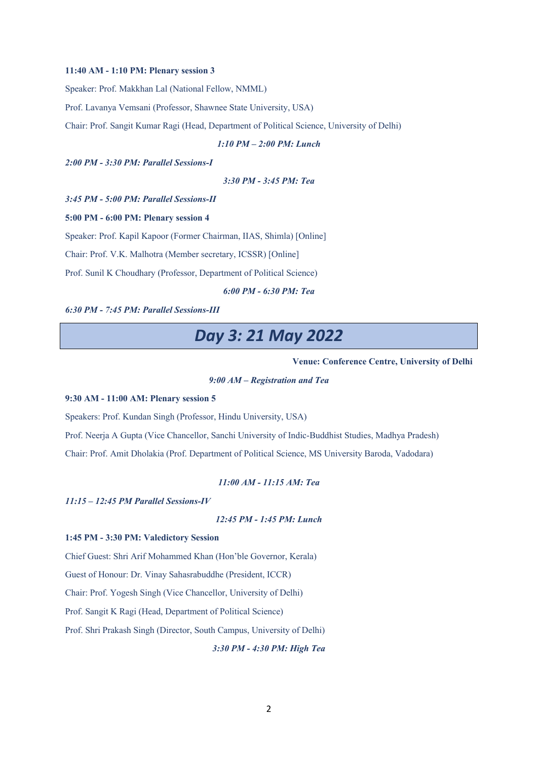#### **11:40 AM - 1:10 PM: Plenary session 3**

Speaker: Prof. Makkhan Lal (National Fellow, NMML)

Prof. Lavanya Vemsani (Professor, Shawnee State University, USA)

Chair: Prof. Sangit Kumar Ragi (Head, Department of Political Science, University of Delhi)

#### *1:10 PM – 2:00 PM: Lunch*

*2:00 PM - 3:30 PM: Parallel Sessions-I*

$$
3:30 PM - 3:45 PM: Tea
$$

*3:45 PM - 5:00 PM: Parallel Sessions-II* 

### **5:00 PM - 6:00 PM: Plenary session 4**

Speaker: Prof. Kapil Kapoor (Former Chairman, IIAS, Shimla) [Online]

Chair: Prof. V.K. Malhotra (Member secretary, ICSSR) [Online]

Prof. Sunil K Choudhary (Professor, Department of Political Science)

*6:00 PM - 6:30 PM: Tea*

#### *6:30 PM - 7:45 PM: Parallel Sessions-III*

# *Day 3: 21 May 2022*

### **Venue: Conference Centre, University of Delhi**

## *9:00 AM – Registration and Tea*

### **9:30 AM - 11:00 AM: Plenary session 5**

Speakers: Prof. Kundan Singh (Professor, Hindu University, USA)

Prof. Neerja A Gupta (Vice Chancellor, Sanchi University of Indic-Buddhist Studies, Madhya Pradesh)

Chair: Prof. Amit Dholakia (Prof. Department of Political Science, MS University Baroda, Vadodara)

#### *11:00 AM - 11:15 AM: Tea*

*11:15 – 12:45 PM Parallel Sessions-IV*

### *12:45 PM - 1:45 PM: Lunch*

#### **1:45 PM - 3:30 PM: Valedictory Session**

Chief Guest: Shri Arif Mohammed Khan (Hon'ble Governor, Kerala)

Guest of Honour: Dr. Vinay Sahasrabuddhe (President, ICCR)

Chair: Prof. Yogesh Singh (Vice Chancellor, University of Delhi)

Prof. Sangit K Ragi (Head, Department of Political Science)

Prof. Shri Prakash Singh (Director, South Campus, University of Delhi)

*3:30 PM - 4:30 PM: High Tea*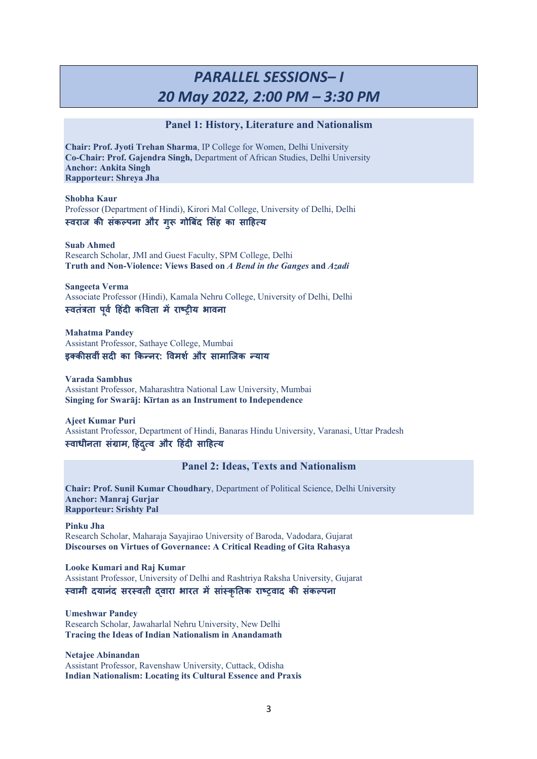# *PARALLEL SESSIONS– I 20 May 2022, 2:00 PM – 3:30 PM*

## **Panel 1: History, Literature and Nationalism**

**Chair: Prof. Jyoti Trehan Sharma**, IP College for Women, Delhi University **Co-Chair: Prof. Gajendra Singh,** Department of African Studies, Delhi University **Anchor: Ankita Singh Rapporteur: Shreya Jha**

**Shobha Kaur** Professor (Department of Hindi), Kirori Mal College, University of Delhi, Delhi **!वराज क( संक+पना और गु 1 गो3बदं 6सहं का सा8ह9य**

**Suab Ahmed** Research Scholar, JMI and Guest Faculty, SPM College, Delhi **Truth and Non-Violence: Views Based on** *A Bend in the Ganges* **and** *Azadi*

**Sangeeta Verma** Associate Professor (Hindi), Kamala Nehru College, University of Delhi, Delhi **!वतं<ता पवू > 8हदं ? क@वता मB राCD?य भावना**

**Mahatma Pandey** Assistant Professor, Sathaye College, Mumbai इक्कीसवीं सदी का किन्नर: विमर्श और सामाजिक *न्*याय

**Varada Sambhus** Assistant Professor, Maharashtra National Law University, Mumbai **Singing for Swarāj: Kīrtan as an Instrument to Independence**

**Ajeet Kumar Puri** Assistant Professor, Department of Hindi, Banaras Hindu University, Varanasi, Uttar Pradesh **!वाधीनता संOाम**, **8हदं 9 ुव और 8हदं ? सा8ह9य**

**Panel 2: Ideas, Texts and Nationalism**

**Chair: Prof. Sunil Kumar Choudhary**, Department of Political Science, Delhi University **Anchor: Manraj Gurjar Rapporteur: Srishty Pal**

**Pinku Jha** Research Scholar, Maharaja Sayajirao University of Baroda, Vadodara, Gujarat **Discourses on Virtues of Governance: A Critical Reading of Gita Rahasya**

**Looke Kumari and Raj Kumar**  Assistant Professor, University of Delhi and Rashtriya Raksha University, Gujarat **!वामी दयानंद सर!वती Pवारा भारत मBसां!कृRतक राCDवाद क( संक+पना**

**Umeshwar Pandey** Research Scholar, Jawaharlal Nehru University, New Delhi **Tracing the Ideas of Indian Nationalism in Anandamath**

**Netajee Abinandan** Assistant Professor, Ravenshaw University, Cuttack, Odisha **Indian Nationalism: Locating its Cultural Essence and Praxis**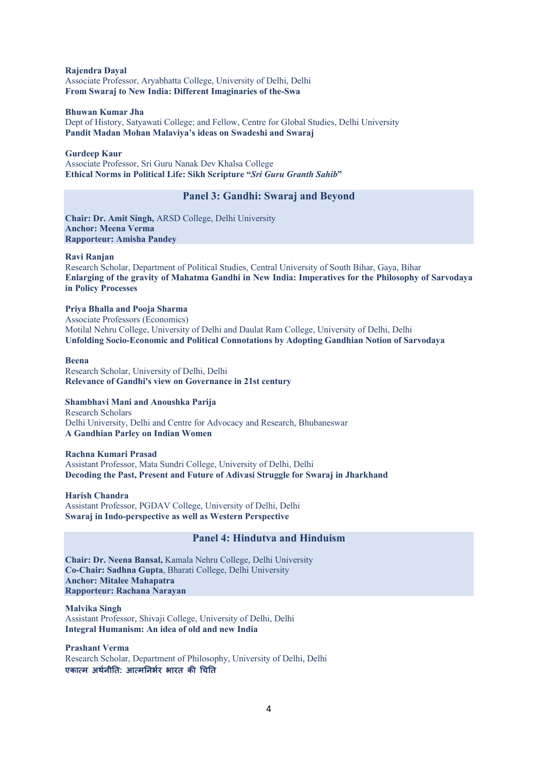**Rajendra Dayal** Associate Professor, Aryabhatta College, University of Delhi, Delhi **From Swaraj to New India: Different Imaginaries of the-Swa**

### **Bhuwan Kumar Jha**

Dept of History, Satyawati College; and Fellow, Centre for Global Studies, Delhi University **Pandit Madan Mohan Malaviya's ideas on Swadeshi and Swaraj**

## **Gurdeep Kaur**

Associate Professor, Sri Guru Nanak Dev Khalsa College **Ethical Norms in Political Life: Sikh Scripture "***Sri Guru Granth Sahib***"**

# **Panel 3: Gandhi: Swaraj and Beyond**

**Chair: Dr. Amit Singh,** ARSD College, Delhi University **Anchor: Meena Verma Rapporteur: Amisha Pandey**

## **Ravi Ranjan**

Research Scholar, Department of Political Studies, Central University of South Bihar, Gaya, Bihar **Enlarging of the gravity of Mahatma Gandhi in New India: Imperatives for the Philosophy of Sarvodaya in Policy Processes**

## **Priya Bhalla and Pooja Sharma**

Associate Professors (Economics) Motilal Nehru College, University of Delhi and Daulat Ram College, University of Delhi, Delhi **Unfolding Socio-Economic and Political Connotations by Adopting Gandhian Notion of Sarvodaya**

#### **Beena**

Research Scholar, University of Delhi, Delhi **Relevance of Gandhi's view on Governance in 21st century**

## **Shambhavi Mani and Anoushka Parija**

Research Scholars Delhi University, Delhi and Centre for Advocacy and Research, Bhubaneswar **A Gandhian Parley on Indian Women**

#### **Rachna Kumari Prasad**

Assistant Professor, Mata Sundri College, University of Delhi, Delhi **Decoding the Past, Present and Future of Adivasi Struggle for Swaraj in Jharkhand**

**Harish Chandra** Assistant Professor, PGDAV College, University of Delhi, Delhi **Swaraj in Indo-perspective as well as Western Perspective**

# **Panel 4: Hindutva and Hinduism**

**Chair: Dr. Neena Bansal,** Kamala Nehru College, Delhi University **Co-Chair: Sadhna Gupta**, Bharati College, Delhi University **Anchor: Mitalee Mahapatra Rapporteur: Rachana Narayan**

**Malvika Singh** Assistant Professor, Shivaji College, University of Delhi, Delhi **Integral Humanism: An idea of old and new India**

**Prashant Verma** Research Scholar, Department of Philosophy, University of Delhi, Delhi एकात्म अर्थनीति: आत्मनिर्भर भारत की चिति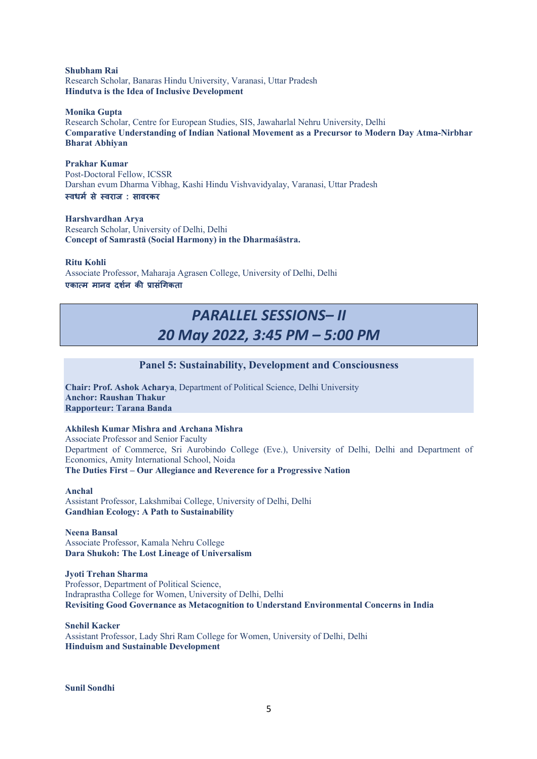**Shubham Rai** Research Scholar, Banaras Hindu University, Varanasi, Uttar Pradesh **Hindutva is the Idea of Inclusive Development**

#### **Monika Gupta**

Research Scholar, Centre for European Studies, SIS, Jawaharlal Nehru University, Delhi **Comparative Understanding of Indian National Movement as a Precursor to Modern Day Atma-Nirbhar Bharat Abhiyan**

**Prakhar Kumar** Post-Doctoral Fellow, ICSSR

Darshan evum Dharma Vibhag, Kashi Hindu Vishvavidyalay, Varanasi, Uttar Pradesh **5वधम) से 5वराज : सावरकर**

**Harshvardhan Arya** Research Scholar, University of Delhi, Delhi **Concept of Samrastā (Social Harmony) in the Dharmaśāstra.**

**Ritu Kohli**

Associate Professor, Maharaja Agrasen College, University of Delhi, Delhi एकात्म मानव दर्शन की प्रासंगिकता

# *PARALLEL SESSIONS– II 20 May 2022, 3:45 PM – 5:00 PM*

## **Panel 5: Sustainability, Development and Consciousness**

**Chair: Prof. Ashok Acharya**, Department of Political Science, Delhi University **Anchor: Raushan Thakur Rapporteur: Tarana Banda**

## **Akhilesh Kumar Mishra and Archana Mishra**

Associate Professor and Senior Faculty Department of Commerce, Sri Aurobindo College (Eve.), University of Delhi, Delhi and Department of Economics, Amity International School, Noida **The Duties First – Our Allegiance and Reverence for a Progressive Nation**

**Anchal**

Assistant Professor, Lakshmibai College, University of Delhi, Delhi **Gandhian Ecology: A Path to Sustainability**

**Neena Bansal** Associate Professor, Kamala Nehru College **Dara Shukoh: The Lost Lineage of Universalism**

**Jyoti Trehan Sharma** Professor, Department of Political Science, Indraprastha College for Women, University of Delhi, Delhi **Revisiting Good Governance as Metacognition to Understand Environmental Concerns in India**

**Snehil Kacker** Assistant Professor, Lady Shri Ram College for Women, University of Delhi, Delhi **Hinduism and Sustainable Development**

**Sunil Sondhi**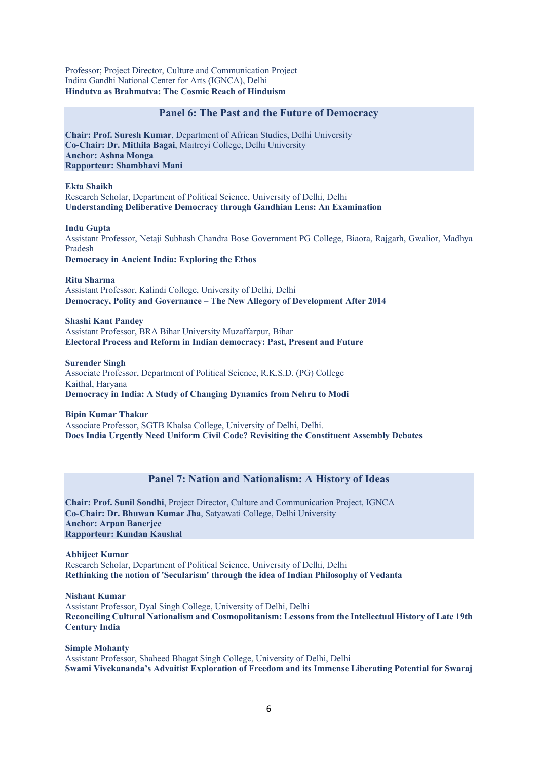Professor; Project Director, Culture and Communication Project Indira Gandhi National Center for Arts (IGNCA), Delhi **Hindutva as Brahmatva: The Cosmic Reach of Hinduism**

## **Panel 6: The Past and the Future of Democracy**

**Chair: Prof. Suresh Kumar**, Department of African Studies, Delhi University **Co-Chair: Dr. Mithila Bagai**, Maitreyi College, Delhi University **Anchor: Ashna Monga Rapporteur: Shambhavi Mani**

**Ekta Shaikh** Research Scholar, Department of Political Science, University of Delhi, Delhi **Understanding Deliberative Democracy through Gandhian Lens: An Examination**

**Indu Gupta**

Assistant Professor, Netaji Subhash Chandra Bose Government PG College, Biaora, Rajgarh, Gwalior, Madhya Pradesh

**Democracy in Ancient India: Exploring the Ethos**

**Ritu Sharma** Assistant Professor, Kalindi College, University of Delhi, Delhi **Democracy, Polity and Governance – The New Allegory of Development After 2014**

**Shashi Kant Pandey** Assistant Professor, BRA Bihar University Muzaffarpur, Bihar **Electoral Process and Reform in Indian democracy: Past, Present and Future**

**Surender Singh** Associate Professor, Department of Political Science, R.K.S.D. (PG) College Kaithal, Haryana **Democracy in India: A Study of Changing Dynamics from Nehru to Modi**

**Bipin Kumar Thakur** Associate Professor, SGTB Khalsa College, University of Delhi, Delhi. **Does India Urgently Need Uniform Civil Code? Revisiting the Constituent Assembly Debates** 

# **Panel 7: Nation and Nationalism: A History of Ideas**

**Chair: Prof. Sunil Sondhi**, Project Director, Culture and Communication Project, IGNCA **Co-Chair: Dr. Bhuwan Kumar Jha**, Satyawati College, Delhi University **Anchor: Arpan Banerjee Rapporteur: Kundan Kaushal**

**Abhijeet Kumar** Research Scholar, Department of Political Science, University of Delhi, Delhi **Rethinking the notion of 'Secularism' through the idea of Indian Philosophy of Vedanta**

**Nishant Kumar** Assistant Professor, Dyal Singh College, University of Delhi, Delhi **Reconciling Cultural Nationalism and Cosmopolitanism: Lessons from the Intellectual History of Late 19th Century India**

**Simple Mohanty** Assistant Professor, Shaheed Bhagat Singh College, University of Delhi, Delhi **Swami Vivekananda's Advaitist Exploration of Freedom and its Immense Liberating Potential for Swaraj**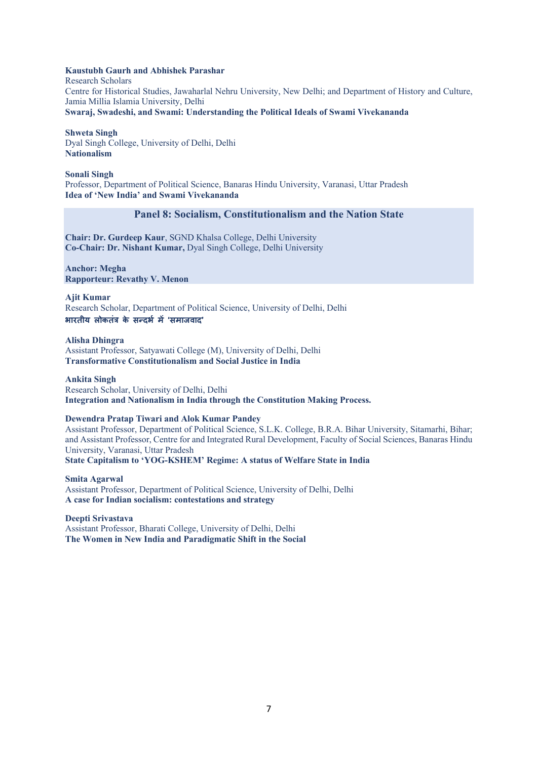## **Kaustubh Gaurh and Abhishek Parashar**

Research Scholars Centre for Historical Studies, Jawaharlal Nehru University, New Delhi; and Department of History and Culture, Jamia Millia Islamia University, Delhi **Swaraj, Swadeshi, and Swami: Understanding the Political Ideals of Swami Vivekananda**

**Shweta Singh**

Dyal Singh College, University of Delhi, Delhi **Nationalism**

## **Sonali Singh**

Professor, Department of Political Science, Banaras Hindu University, Varanasi, Uttar Pradesh **Idea of 'New India' and Swami Vivekananda**

## **Panel 8: Socialism, Constitutionalism and the Nation State**

**Chair: Dr. Gurdeep Kaur**, SGND Khalsa College, Delhi University **Co-Chair: Dr. Nishant Kumar,** Dyal Singh College, Delhi University

**Anchor: Megha Rapporteur: Revathy V. Menon**

**Ajit Kumar**

Research Scholar, Department of Political Science, University of Delhi, Delhi **भारतीय लोकतंC के सDदभ) मE 'समाजवाद'**

**Alisha Dhingra** Assistant Professor, Satyawati College (M), University of Delhi, Delhi **Transformative Constitutionalism and Social Justice in India**

**Ankita Singh** Research Scholar, University of Delhi, Delhi **Integration and Nationalism in India through the Constitution Making Process.**

## **Dewendra Pratap Tiwari and Alok Kumar Pandey**

Assistant Professor, Department of Political Science, S.L.K. College, B.R.A. Bihar University, Sitamarhi, Bihar; and Assistant Professor, Centre for and Integrated Rural Development, Faculty of Social Sciences, Banaras Hindu University, Varanasi, Uttar Pradesh

**State Capitalism to 'YOG-KSHEM' Regime: A status of Welfare State in India**

**Smita Agarwal**  Assistant Professor, Department of Political Science, University of Delhi, Delhi **A case for Indian socialism: contestations and strategy** 

**Deepti Srivastava** Assistant Professor, Bharati College, University of Delhi, Delhi **The Women in New India and Paradigmatic Shift in the Social**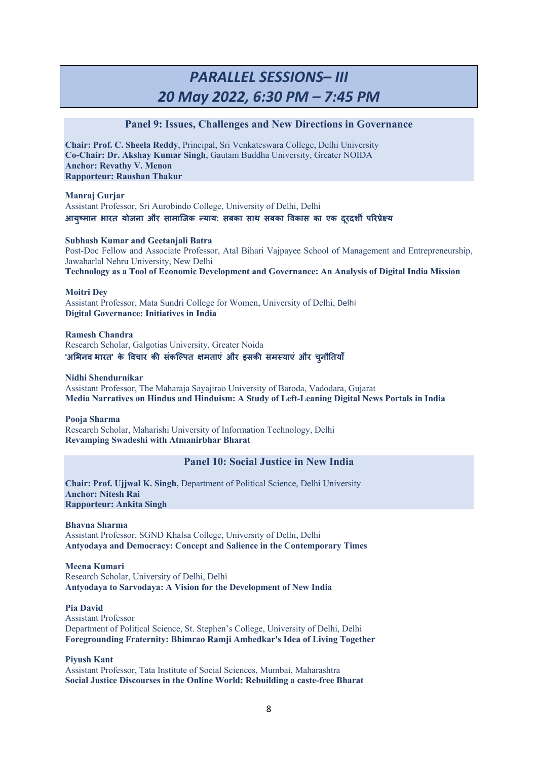# *PARALLEL SESSIONS– III 20 May 2022, 6:30 PM – 7:45 PM*

## **Panel 9: Issues, Challenges and New Directions in Governance**

**Chair: Prof. C. Sheela Reddy**, Principal, Sri Venkateswara College, Delhi University **Co-Chair: Dr. Akshay Kumar Singh**, Gautam Buddha University, Greater NOIDA **Anchor: Revathy V. Menon Rapporteur: Raushan Thakur**

**Manraj Gurjar** Assistant Professor, Sri Aurobindo College, University of Delhi, Delhi आयुष्मान भारत योजना और सामाजिक न्याय: सबका साथ सबका विकास का एक दूरदशी परिप्रेक्ष्य

### **Subhash Kumar and Geetanjali Batra**

Post-Doc Fellow and Associate Professor, Atal Bihari Vajpayee School of Management and Entrepreneurship, Jawaharlal Nehru University, New Delhi **Technology as a Tool of Economic Development and Governance: An Analysis of Digital India Mission**

### **Moitri Dey**

Assistant Professor, Mata Sundri College for Women, University of Delhi, Delhi **Digital Governance: Initiatives in India**

**Ramesh Chandra** Research Scholar, Galgotias University, Greater Noida **'अSभनव भारत' के Mवचार क2 संकिTपत Uमताएं और इसक2 सम5याएं और चनु ौ,तयाँ**

### **Nidhi Shendurnikar**

Assistant Professor, The Maharaja Sayajirao University of Baroda, Vadodara, Gujarat **Media Narratives on Hindus and Hinduism: A Study of Left-Leaning Digital News Portals in India**

**Pooja Sharma** Research Scholar, Maharishi University of Information Technology, Delhi **Revamping Swadeshi with Atmanirbhar Bharat**

# **Panel 10: Social Justice in New India**

**Chair: Prof. Ujjwal K. Singh,** Department of Political Science, Delhi University **Anchor: Nitesh Rai Rapporteur: Ankita Singh**

**Bhavna Sharma**  Assistant Professor, SGND Khalsa College, University of Delhi, Delhi **Antyodaya and Democracy: Concept and Salience in the Contemporary Times**

**Meena Kumari** Research Scholar, University of Delhi, Delhi **Antyodaya to Sarvodaya: A Vision for the Development of New India**

**Pia David** Assistant Professor Department of Political Science, St. Stephen's College, University of Delhi, Delhi **Foregrounding Fraternity: Bhimrao Ramji Ambedkar's Idea of Living Together**

**Piyush Kant** Assistant Professor, Tata Institute of Social Sciences, Mumbai, Maharashtra **Social Justice Discourses in the Online World: Rebuilding a caste-free Bharat**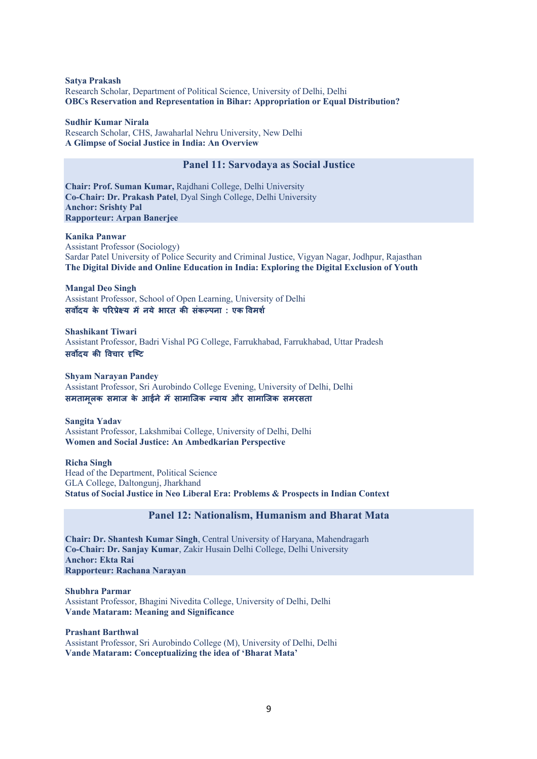**Satya Prakash** Research Scholar, Department of Political Science, University of Delhi, Delhi **OBCs Reservation and Representation in Bihar: Appropriation or Equal Distribution?**

#### **Sudhir Kumar Nirala**

Research Scholar, CHS, Jawaharlal Nehru University, New Delhi **A Glimpse of Social Justice in India: An Overview**

## **Panel 11: Sarvodaya as Social Justice**

**Chair: Prof. Suman Kumar,** Rajdhani College, Delhi University **Co-Chair: Dr. Prakash Patel**, Dyal Singh College, Delhi University **Anchor: Srishty Pal Rapporteur: Arpan Banerjee**

#### **Kanika Panwar**

Assistant Professor (Sociology) Sardar Patel University of Police Security and Criminal Justice, Vigyan Nagar, Jodhpur, Rajasthan **The Digital Divide and Online Education in India: Exploring the Digital Exclusion of Youth**

**Mangal Deo Singh** Assistant Professor, School of Open Learning, University of Delhi **सवYदय के पQर=ेRय मEनये भारत क2 संकTपना : एक Mवमश)**

**Shashikant Tiwari** Assistant Professor, Badri Vishal PG College, Farrukhabad, Farrukhabad, Uttar Pradesh **सर्वोदय की विचार दृष्टि** 

**Shyam Narayan Pandey** Assistant Professor, Sri Aurobindo College Evening, University of Delhi, Delhi **समतामलू क समाज के आईने मEसामािजक Dयाय और सामािजक समरसता**

**Sangita Yadav** Assistant Professor, Lakshmibai College, University of Delhi, Delhi **Women and Social Justice: An Ambedkarian Perspective**

**Richa Singh** 

Head of the Department, Political Science GLA College, Daltongunj, Jharkhand **Status of Social Justice in Neo Liberal Era: Problems & Prospects in Indian Context**

#### **Panel 12: Nationalism, Humanism and Bharat Mata**

**Chair: Dr. Shantesh Kumar Singh**, Central University of Haryana, Mahendragarh **Co-Chair: Dr. Sanjay Kumar**, Zakir Husain Delhi College, Delhi University **Anchor: Ekta Rai Rapporteur: Rachana Narayan**

**Shubhra Parmar** Assistant Professor, Bhagini Nivedita College, University of Delhi, Delhi **Vande Mataram: Meaning and Significance**

#### **Prashant Barthwal**

Assistant Professor, Sri Aurobindo College (M), University of Delhi, Delhi **Vande Mataram: Conceptualizing the idea of 'Bharat Mata'**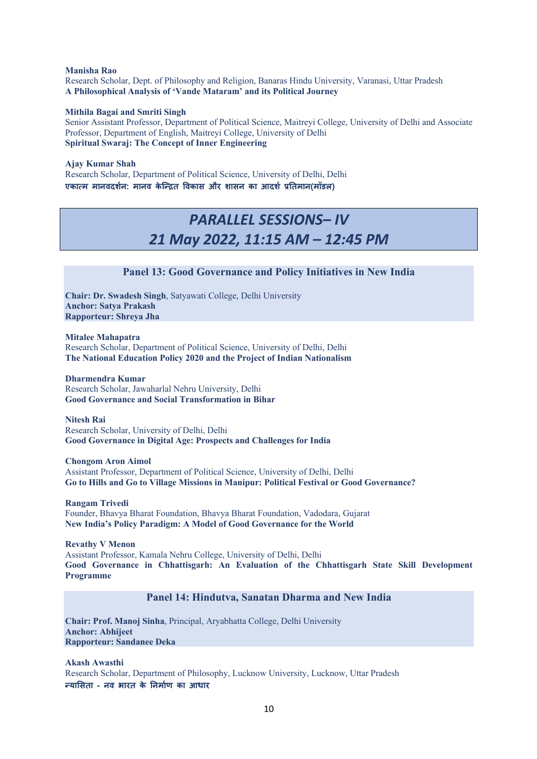**Manisha Rao** Research Scholar, Dept. of Philosophy and Religion, Banaras Hindu University, Varanasi, Uttar Pradesh **A Philosophical Analysis of 'Vande Mataram' and its Political Journey**

### **Mithila Bagai and Smriti Singh**

Senior Assistant Professor, Department of Political Science, Maitreyi College, University of Delhi and Associate Professor, Department of English, Maitreyi College, University of Delhi **Spiritual Swaraj: The Concept of Inner Engineering**

### **Ajay Kumar Shah**

Research Scholar, Department of Political Science, University of Delhi, Delhi एकात्म मानवदर्शन: मानव केन्द्रित विकास और शासन का आदर्श प्रतिमान(मॉडल)

# *PARALLEL SESSIONS– IV 21 May 2022, 11:15 AM – 12:45 PM*

# **Panel 13: Good Governance and Policy Initiatives in New India**

**Chair: Dr. Swadesh Singh**, Satyawati College, Delhi University **Anchor: Satya Prakash Rapporteur: Shreya Jha**

**Mitalee Mahapatra** Research Scholar, Department of Political Science, University of Delhi, Delhi **The National Education Policy 2020 and the Project of Indian Nationalism**

**Dharmendra Kumar** Research Scholar, Jawaharlal Nehru University, Delhi **Good Governance and Social Transformation in Bihar**

**Nitesh Rai** Research Scholar, University of Delhi, Delhi **Good Governance in Digital Age: Prospects and Challenges for India**

#### **Chongom Aron Aimol**

Assistant Professor, Department of Political Science, University of Delhi, Delhi **Go to Hills and Go to Village Missions in Manipur: Political Festival or Good Governance?**

**Rangam Trivedi** Founder, Bhavya Bharat Foundation, Bhavya Bharat Foundation, Vadodara, Gujarat **New India's Policy Paradigm: A Model of Good Governance for the World** 

**Revathy V Menon** Assistant Professor, Kamala Nehru College, University of Delhi, Delhi **Good Governance in Chhattisgarh: An Evaluation of the Chhattisgarh State Skill Development Programme**

## **Panel 14: Hindutva, Sanatan Dharma and New India**

**Chair: Prof. Manoj Sinha**, Principal, Aryabhatta College, Delhi University **Anchor: Abhijeet Rapporteur: Sandanee Deka**

**Akash Awasthi** Research Scholar, Department of Philosophy, Lucknow University, Lucknow, Uttar Pradesh **DयाSसता - नव भारत के ,नमा)ण का आधार**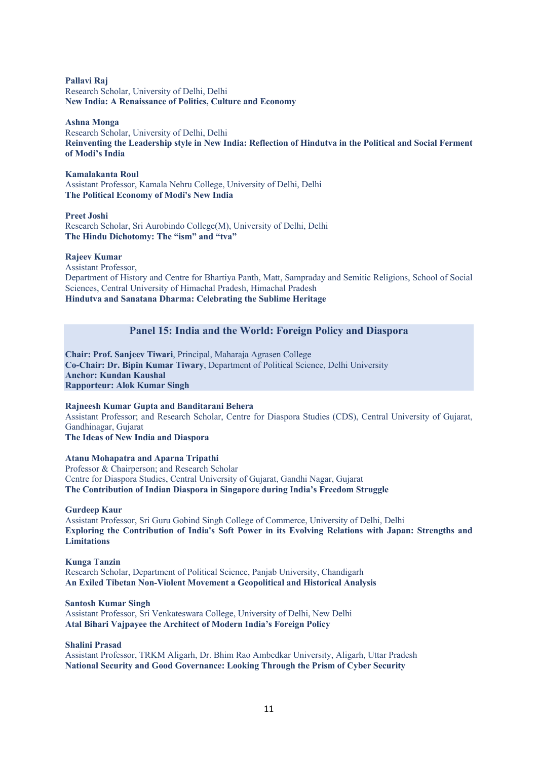**Pallavi Raj** Research Scholar, University of Delhi, Delhi **New India: A Renaissance of Politics, Culture and Economy**

#### **Ashna Monga**

Research Scholar, University of Delhi, Delhi **Reinventing the Leadership style in New India: Reflection of Hindutva in the Political and Social Ferment of Modi's India**

#### **Kamalakanta Roul**

Assistant Professor, Kamala Nehru College, University of Delhi, Delhi **The Political Economy of Modi's New India**

**Preet Joshi** Research Scholar, Sri Aurobindo College(M), University of Delhi, Delhi **The Hindu Dichotomy: The "ism" and "tva"**

#### **Rajeev Kumar**

Assistant Professor, Department of History and Centre for Bhartiya Panth, Matt, Sampraday and Semitic Religions, School of Social Sciences, Central University of Himachal Pradesh, Himachal Pradesh **Hindutva and Sanatana Dharma: Celebrating the Sublime Heritage**

## **Panel 15: India and the World: Foreign Policy and Diaspora**

**Chair: Prof. Sanjeev Tiwari**, Principal, Maharaja Agrasen College **Co-Chair: Dr. Bipin Kumar Tiwary**, Department of Political Science, Delhi University **Anchor: Kundan Kaushal Rapporteur: Alok Kumar Singh**

**Rajneesh Kumar Gupta and Banditarani Behera** Assistant Professor; and Research Scholar, Centre for Diaspora Studies (CDS), Central University of Gujarat, Gandhinagar, Gujarat

# **The Ideas of New India and Diaspora**

## **Atanu Mohapatra and Aparna Tripathi**

Professor & Chairperson; and Research Scholar Centre for Diaspora Studies, Central University of Gujarat, Gandhi Nagar, Gujarat **The Contribution of Indian Diaspora in Singapore during India's Freedom Struggle**

**Gurdeep Kaur**

Assistant Professor, Sri Guru Gobind Singh College of Commerce, University of Delhi, Delhi **Exploring the Contribution of India's Soft Power in its Evolving Relations with Japan: Strengths and Limitations**

### **Kunga Tanzin** Research Scholar, Department of Political Science, Panjab University, Chandigarh **An Exiled Tibetan Non-Violent Movement a Geopolitical and Historical Analysis**

#### **Santosh Kumar Singh**

Assistant Professor, Sri Venkateswara College, University of Delhi, New Delhi **Atal Bihari Vajpayee the Architect of Modern India's Foreign Policy**

#### **Shalini Prasad**

Assistant Professor, TRKM Aligarh, Dr. Bhim Rao Ambedkar University, Aligarh, Uttar Pradesh **National Security and Good Governance: Looking Through the Prism of Cyber Security**